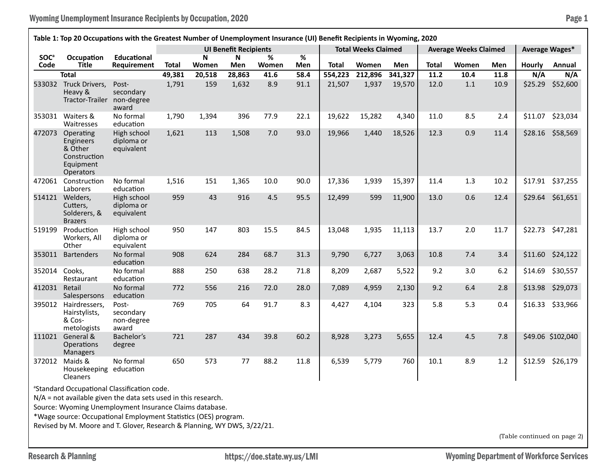## Wyoming Unemployment Insurance Recipients by Occupation, 2020 **Page 1** Page 1

| Table 1: Top 20 Occupations with the Greatest Number of Unemployment Insurance (UI) Benefit Recipients in Wyoming, 2020 |                                                                                                                                                                                                                                                                                                                                       |                                           |              |                                    |          |            |             |                            |         |         |                              |       |      |                |                             |
|-------------------------------------------------------------------------------------------------------------------------|---------------------------------------------------------------------------------------------------------------------------------------------------------------------------------------------------------------------------------------------------------------------------------------------------------------------------------------|-------------------------------------------|--------------|------------------------------------|----------|------------|-------------|----------------------------|---------|---------|------------------------------|-------|------|----------------|-----------------------------|
|                                                                                                                         |                                                                                                                                                                                                                                                                                                                                       |                                           |              | <b>UI Benefit Recipients</b>       |          |            |             | <b>Total Weeks Claimed</b> |         |         | <b>Average Weeks Claimed</b> |       |      | Average Wages* |                             |
| <b>SOC</b> <sup>a</sup><br>Code                                                                                         | Occupation<br>Title                                                                                                                                                                                                                                                                                                                   | <b>Educational</b><br>Requirement         | <b>Total</b> | $\boldsymbol{\mathsf{N}}$<br>Women | N<br>Men | %<br>Women | $\%$<br>Men | <b>Total</b>               | Women   | Men     | Total                        | Women | Men  | <b>Hourly</b>  | Annual                      |
|                                                                                                                         | <b>Total</b>                                                                                                                                                                                                                                                                                                                          |                                           | 49,381       | 20,518                             | 28,863   | 41.6       | 58.4        | 554,223                    | 212,896 | 341,327 | 11.2                         | 10.4  | 11.8 | N/A            | N/A                         |
|                                                                                                                         | 533032 Truck Drivers,<br>Heavy &<br>Tractor-Trailer                                                                                                                                                                                                                                                                                   | Post-<br>secondary<br>non-degree<br>award | 1,791        | 159                                | 1,632    | 8.9        | 91.1        | 21,507                     | 1,937   | 19,570  | 12.0                         | 1.1   | 10.9 | \$25.29        | \$52,600                    |
|                                                                                                                         | 353031 Waiters &<br>Waitresses                                                                                                                                                                                                                                                                                                        | No formal<br>education                    | 1,790        | 1,394                              | 396      | 77.9       | 22.1        | 19,622                     | 15,282  | 4,340   | 11.0                         | 8.5   | 2.4  | \$11.07        | \$23,034                    |
| 472073                                                                                                                  | Operating<br><b>Engineers</b><br>& Other<br>Construction<br>Equipment<br><b>Operators</b>                                                                                                                                                                                                                                             | High school<br>diploma or<br>equivalent   | 1,621        | 113                                | 1,508    | 7.0        | 93.0        | 19,966                     | 1,440   | 18,526  | 12.3                         | 0.9   | 11.4 | \$28.16        | \$58,569                    |
| 472061                                                                                                                  | Construction<br>Laborers                                                                                                                                                                                                                                                                                                              | No formal<br>education                    | 1,516        | 151                                | 1,365    | 10.0       | 90.0        | 17,336                     | 1,939   | 15,397  | 11.4                         | 1.3   | 10.2 |                | \$17.91 \$37,255            |
| 514121                                                                                                                  | Welders,<br>Cutters,<br>Solderers, &<br><b>Brazers</b>                                                                                                                                                                                                                                                                                | High school<br>diploma or<br>equivalent   | 959          | 43                                 | 916      | 4.5        | 95.5        | 12,499                     | 599     | 11,900  | 13.0                         | 0.6   | 12.4 | \$29.64        | \$61,651                    |
| 519199                                                                                                                  | Production<br>Workers, All<br>Other                                                                                                                                                                                                                                                                                                   | High school<br>diploma or<br>equivalent   | 950          | 147                                | 803      | 15.5       | 84.5        | 13,048                     | 1,935   | 11,113  | 13.7                         | 2.0   | 11.7 | \$22.73        | \$47,281                    |
| 353011                                                                                                                  | <b>Bartenders</b>                                                                                                                                                                                                                                                                                                                     | No formal<br>education                    | 908          | 624                                | 284      | 68.7       | 31.3        | 9,790                      | 6,727   | 3,063   | 10.8                         | 7.4   | 3.4  | \$11.60        | \$24,122                    |
| 352014                                                                                                                  | Cooks,<br>Restaurant                                                                                                                                                                                                                                                                                                                  | No formal<br>education                    | 888          | 250                                | 638      | 28.2       | 71.8        | 8,209                      | 2,687   | 5,522   | 9.2                          | 3.0   | 6.2  | \$14.69        | \$30,557                    |
| 412031                                                                                                                  | Retail<br>Salespersons                                                                                                                                                                                                                                                                                                                | No formal<br>education                    | 772          | 556                                | 216      | 72.0       | 28.0        | 7,089                      | 4,959   | 2,130   | 9.2                          | 6.4   | 2.8  | \$13.98        | \$29,073                    |
|                                                                                                                         | 395012 Hairdressers,<br>Hairstylists,<br>& Cos-<br>metologists                                                                                                                                                                                                                                                                        | Post-<br>secondary<br>non-degree<br>award | 769          | 705                                | 64       | 91.7       | 8.3         | 4,427                      | 4,104   | 323     | 5.8                          | 5.3   | 0.4  |                | \$16.33 \$33,966            |
|                                                                                                                         | 111021 General &<br>Operations<br><b>Managers</b>                                                                                                                                                                                                                                                                                     | Bachelor's<br>degree                      | 721          | 287                                | 434      | 39.8       | 60.2        | 8,928                      | 3,273   | 5,655   | 12.4                         | 4.5   | 7.8  |                | \$49.06 \$102,040           |
|                                                                                                                         | 372012 Maids &<br>Housekeeping education<br>Cleaners                                                                                                                                                                                                                                                                                  | No formal                                 | 650          | 573                                | 77       | 88.2       | 11.8        | 6,539                      | 5,779   | 760     | 10.1                         | 8.9   | 1.2  | \$12.59        | \$26,179                    |
|                                                                                                                         | <sup>a</sup> Standard Occupational Classification code.<br>$N/A$ = not available given the data sets used in this research.<br>Source: Wyoming Unemployment Insurance Claims database.<br>*Wage source: Occupational Employment Statistics (OES) program.<br>Revised by M. Moore and T. Glover, Research & Planning, WY DWS, 3/22/21. |                                           |              |                                    |          |            |             |                            |         |         |                              |       |      |                | (Table continued on page 2) |